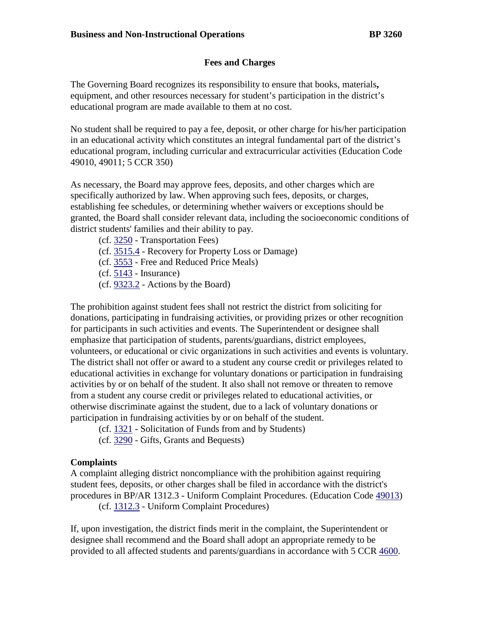# **Fees and Charges**

The Governing Board recognizes its responsibility to ensure that books, materials**,** equipment, and other resources necessary for student's participation in the district's educational program are made available to them at no cost.

No student shall be required to pay a fee, deposit, or other charge for his/her participation in an educational activity which constitutes an integral fundamental part of the district's educational program, including curricular and extracurricular activities (Education Code 49010, 49011; 5 CCR 350)

As necessary, the Board may approve fees, deposits, and other charges which are specifically authorized by law. When approving such fees, deposits, or charges, establishing fee schedules, or determining whether waivers or exceptions should be granted, the Board shall consider relevant data, including the socioeconomic conditions of district students' families and their ability to pay.

- (cf. [3250](http://gamutonline.net/displayPolicy/171472/3) Transportation Fees)
- (cf. [3515.4](http://gamutonline.net/displayPolicy/171474/3) Recovery for Property Loss or Damage)
- (cf. [3553](http://gamutonline.net/displayPolicy/1053060/3) Free and Reduced Price Meals)
- (cf. [5143](http://gamutonline.net/displayPolicy/222837/3) Insurance)
- (cf. [9323.2](http://gamutonline.net/displayPolicy/288789/3) Actions by the Board)

The prohibition against student fees shall not restrict the district from soliciting for donations, participating in fundraising activities, or providing prizes or other recognition for participants in such activities and events. The Superintendent or designee shall emphasize that participation of students, parents/guardians, district employees, volunteers, or educational or civic organizations in such activities and events is voluntary. The district shall not offer or award to a student any course credit or privileges related to educational activities in exchange for voluntary donations or participation in fundraising activities by or on behalf of the student. It also shall not remove or threaten to remove from a student any course credit or privileges related to educational activities, or otherwise discriminate against the student, due to a lack of voluntary donations or participation in fundraising activities by or on behalf of the student.

- (cf. [1321](http://gamutonline.net/displayPolicy/303889/3) Solicitation of Funds from and by Students)
- (cf. [3290](http://gamutonline.net/displayPolicy/170673/3) Gifts, Grants and Bequests)

### **Complaints**

A complaint alleging district noncompliance with the prohibition against requiring student fees, deposits, or other charges shall be filed in accordance with the district's procedures in BP/AR 1312.3 - Uniform Complaint Procedures. (Education Code [49013\)](http://gamutonline.net/displayPolicy/781186/3)

(cf. [1312.3](http://gamutonline.net/displayPolicy/1056951/3) - Uniform Complaint Procedures)

If, upon investigation, the district finds merit in the complaint, the Superintendent or designee shall recommend and the Board shall adopt an appropriate remedy to be provided to all affected students and parents/guardians in accordance with 5 CCR [4600.](http://gamutonline.net/displayPolicy/187020/3)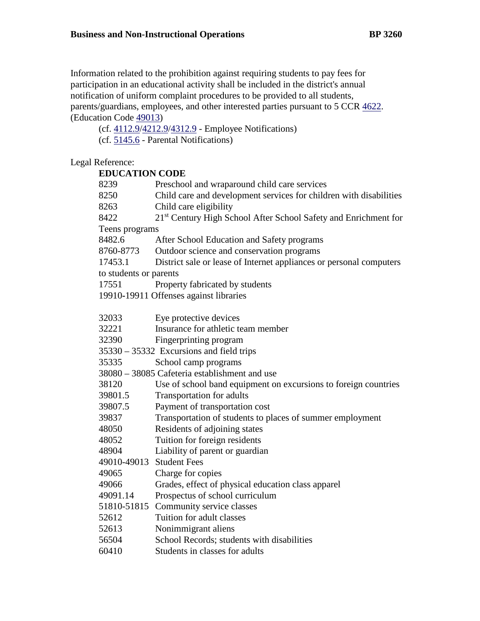Information related to the prohibition against requiring students to pay fees for participation in an educational activity shall be included in the district's annual notification of uniform complaint procedures to be provided to all students, parents/guardians, employees, and other interested parties pursuant to 5 CCR [4622.](http://gamutonline.net/displayPolicy/187025/3) (Education Code [49013\)](http://gamutonline.net/displayPolicy/781186/3)

(cf. [4112.9](http://gamutonline.net/displayPolicy/929964/3)[/4212.9/](http://gamutonline.net/displayPolicy/929965/3)[4312.9](http://gamutonline.net/displayPolicy/929966/3) - Employee Notifications)

(cf. [5145.6](http://gamutonline.net/displayPolicy/222839/3) - Parental Notifications)

# Legal Reference:

### **EDUCATION CODE**

| 8239                                          | Preschool and wraparound child care services                        |
|-----------------------------------------------|---------------------------------------------------------------------|
| 8250                                          | Child care and development services for children with disabilities  |
| 8263                                          | Child care eligibility                                              |
| 8422                                          | 21st Century High School After School Safety and Enrichment for     |
| Teens programs                                |                                                                     |
| 8482.6                                        | After School Education and Safety programs                          |
| 8760-8773                                     | Outdoor science and conservation programs                           |
| 17453.1                                       | District sale or lease of Internet appliances or personal computers |
| to students or parents                        |                                                                     |
| 17551                                         | Property fabricated by students                                     |
| 19910-19911 Offenses against libraries        |                                                                     |
|                                               |                                                                     |
| 32033                                         | Eye protective devices                                              |
| 32221                                         | Insurance for athletic team member                                  |
| 32390                                         | Fingerprinting program                                              |
| 35330 - 35332 Excursions and field trips      |                                                                     |
| 35335                                         | School camp programs                                                |
| 38080 - 38085 Cafeteria establishment and use |                                                                     |
| 38120                                         | Use of school band equipment on excursions to foreign countries     |
| 39801.5                                       | Transportation for adults                                           |
| 39807.5                                       | Payment of transportation cost                                      |
| 39837                                         | Transportation of students to places of summer employment           |
| 48050                                         | Residents of adjoining states                                       |
| 48052                                         | Tuition for foreign residents                                       |
| 48904                                         | Liability of parent or guardian                                     |
| 49010-49013                                   | <b>Student Fees</b>                                                 |
| 49065                                         | Charge for copies                                                   |
| 49066                                         | Grades, effect of physical education class apparel                  |
| 49091.14                                      | Prospectus of school curriculum                                     |
| 51810-51815                                   | Community service classes                                           |
| 52612                                         | Tuition for adult classes                                           |
| 52613                                         | Nonimmigrant aliens                                                 |
| 56504                                         | School Records; students with disabilities                          |
| 60410                                         | Students in classes for adults                                      |